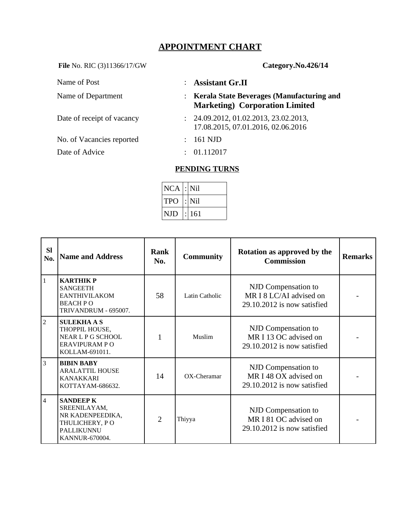## **APPOINTMENT CHART**

File No. RIC (3)11366/17/GW **Category.No.426/14** 

No. of Vacancies reported : 161 NJD

Date of Advice : 01.112017

Name of Post  $\qquad$  : **Assistant Gr.II** 

Name of Department : **Kerala State Beverages (Manufacturing and Marketing) Corporation Limited**

- Date of receipt of vacancy : 24.09.2012, 01.02.2013, 23.02.2013, 17.08.2015, 07.01.2016, 02.06.2016
	-
	-

## **PENDING TURNS**

| $NCA$ $\mid$ : $Nil$ |       |
|----------------------|-------|
| TPO                  | : Nil |
| NJD                  | : 161 |

| <b>SI</b><br>No. | <b>Name and Address</b>                                                                                       | Rank<br>No. | <b>Community</b> | Rotation as approved by the<br><b>Commission</b>                              | <b>Remarks</b> |
|------------------|---------------------------------------------------------------------------------------------------------------|-------------|------------------|-------------------------------------------------------------------------------|----------------|
| $\mathbf{1}$     | <b>KARTHIKP</b><br><b>SANGEETH</b><br><b>EANTHIVILAKOM</b><br><b>BEACH PO</b><br>TRIVANDRUM - 695007.         | 58          | Latin Catholic   | NJD Compensation to<br>MR I 8 LC/AI advised on<br>29.10.2012 is now satisfied |                |
| $\overline{2}$   | <b>SULEKHAAS</b><br>THOPPIL HOUSE,<br>NEAR L P G SCHOOL<br><b>ERAVIPURAM PO</b><br>KOLLAM-691011.             | 1           | Muslim           | NJD Compensation to<br>MR I 13 OC advised on<br>29.10.2012 is now satisfied   |                |
| 3                | <b>BIBIN BABY</b><br><b>ARALATTIL HOUSE</b><br><b>KANAKKARI</b><br>KOTTAYAM-686632.                           | 14          | $OX$ -Cheramar   | NJD Compensation to<br>MR I 48 OX advised on<br>29.10.2012 is now satisfied   |                |
| $\overline{4}$   | <b>SANDEEP K</b><br>SREENILAYAM,<br>NR KADENPEEDIKA,<br>THULICHERY, PO<br>PALLIKUNNU<br><b>KANNUR-670004.</b> | 2           | Thiyya           | NJD Compensation to<br>MR I 81 OC advised on<br>29.10.2012 is now satisfied   |                |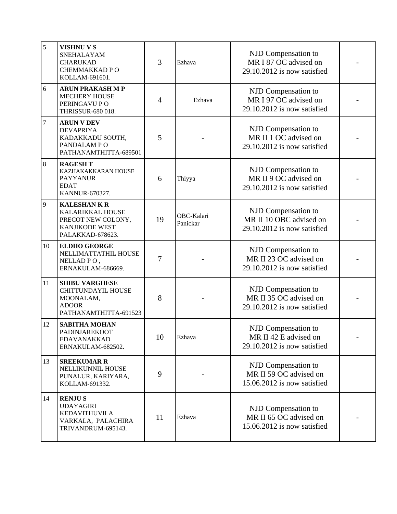| 5  | <b>VISHNU V S</b><br>SNEHALAYAM<br><b>CHARUKAD</b><br>CHEMMAKKAD PO<br>KOLLAM-691601.                           | 3                        | Ezhava                 | NJD Compensation to<br>MR I 87 OC advised on<br>29.10.2012 is now satisfied   |  |
|----|-----------------------------------------------------------------------------------------------------------------|--------------------------|------------------------|-------------------------------------------------------------------------------|--|
| 6  | <b>ARUN PRAKASH M P</b><br><b>MECHERY HOUSE</b><br>PERINGAVU PO<br>THRISSUR-680 018.                            | $\overline{\mathcal{A}}$ | Ezhava                 | NJD Compensation to<br>MR I 97 OC advised on<br>29.10.2012 is now satisfied   |  |
| 7  | <b>ARUN V DEV</b><br><b>DEVAPRIYA</b><br>KADAKKADU SOUTH,<br>PANDALAM PO<br>PATHANAMTHITTA-689501               | 5                        |                        | NJD Compensation to<br>MR II 1 OC advised on<br>29.10.2012 is now satisfied   |  |
| 8  | <b>RAGESH T</b><br>KAZHAKAKKARAN HOUSE<br><b>PAYYANUR</b><br><b>EDAT</b><br>KANNUR-670327.                      | 6                        | Thiyya                 | NJD Compensation to<br>MR II 9 OC advised on<br>29.10.2012 is now satisfied   |  |
| 9  | <b>KALESHANKR</b><br><b>KALARIKKAL HOUSE</b><br>PRECOT NEW COLONY,<br><b>KANJIKODE WEST</b><br>PALAKKAD-678623. | 19                       | OBC-Kalari<br>Panickar | NJD Compensation to<br>MR II 10 OBC advised on<br>29.10.2012 is now satisfied |  |
| 10 | <b>ELDHO GEORGE</b><br>NELLIMATTATHIL HOUSE<br>NELLAD PO,<br>ERNAKULAM-686669.                                  | 7                        |                        | NJD Compensation to<br>MR II 23 OC advised on<br>29.10.2012 is now satisfied  |  |
| 11 | <b>SHIBU VARGHESE</b><br><b>CHITTUNDAYIL HOUSE</b><br>MOONALAM,<br><b>ADOOR</b><br>PATHANAMTHITTA-691523        | 8                        |                        | NJD Compensation to<br>MR II 35 OC advised on<br>29.10.2012 is now satisfied  |  |
| 12 | <b>SABITHA MOHAN</b><br>PADINJAREKOOT<br><b>EDAVANAKKAD</b><br>ERNAKULAM-682502.                                | 10                       | Ezhava                 | NJD Compensation to<br>MR II 42 E advised on<br>29.10.2012 is now satisfied   |  |
| 13 | <b>SREEKUMAR R</b><br>NELLIKUNNIL HOUSE<br>PUNALUR, KARIYARA,<br>KOLLAM-691332.                                 | 9                        |                        | NJD Compensation to<br>MR II 59 OC advised on<br>15.06.2012 is now satisfied  |  |
| 14 | <b>RENJUS</b><br><b>UDAYAGIRI</b><br><b>KEDAVITHUVILA</b><br>VARKALA, PALACHIRA<br>TRIVANDRUM-695143.           | 11                       | Ezhava                 | NJD Compensation to<br>MR II 65 OC advised on<br>15.06.2012 is now satisfied  |  |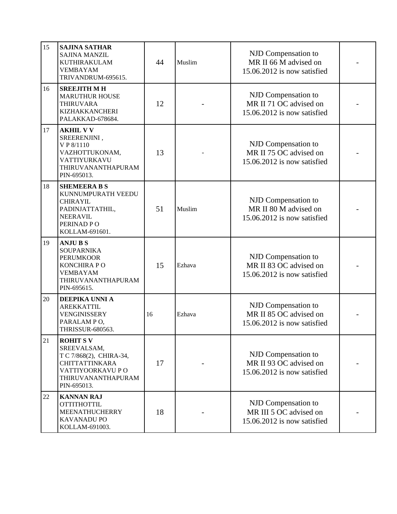| 15 | <b>SAJINA SATHAR</b><br><b>SAJINA MANZIL</b><br>KUTHIRAKULAM<br><b>VEMBAYAM</b><br>TRIVANDRUM-695615.                                      | 44 | Muslim | NJD Compensation to<br>MR II 66 M advised on<br>15.06.2012 is now satisfied  |  |
|----|--------------------------------------------------------------------------------------------------------------------------------------------|----|--------|------------------------------------------------------------------------------|--|
| 16 | <b>SREEJITH M H</b><br><b>MARUTHUR HOUSE</b><br>THIRUVARA<br><b>KIZHAKKANCHERI</b><br>PALAKKAD-678684.                                     | 12 |        | NJD Compensation to<br>MR II 71 OC advised on<br>15.06.2012 is now satisfied |  |
| 17 | <b>AKHIL V V</b><br>SREERENJINI,<br>V P 8/1110<br>VAZHOTTUKONAM,<br>VATTIYURKAVU<br>THIRUVANANTHAPURAM<br>PIN-695013.                      | 13 |        | NJD Compensation to<br>MR II 75 OC advised on<br>15.06.2012 is now satisfied |  |
| 18 | <b>SHEMEERA B S</b><br>KUNNUMPURATH VEEDU<br><b>CHIRAYIL</b><br>PADINJATTATHIL,<br><b>NEERAVIL</b><br>PERINAD PO<br>KOLLAM-691601.         | 51 | Muslim | NJD Compensation to<br>MR II 80 M advised on<br>15.06.2012 is now satisfied  |  |
| 19 | <b>ANJUBS</b><br><b>SOUPARNIKA</b><br><b>PERUMKOOR</b><br>KONCHIRA PO<br><b>VEMBAYAM</b><br>THIRUVANANTHAPURAM<br>PIN-695615.              | 15 | Ezhava | NJD Compensation to<br>MR II 83 OC advised on<br>15.06.2012 is now satisfied |  |
| 20 | DEEPIKA UNNI A<br><b>AREKKATTIL</b><br><b>VENGINISSERY</b><br>PARALAM PO,<br>THRISSUR-680563.                                              | 16 | Ezhava | NJD Compensation to<br>MR II 85 OC advised on<br>15.06.2012 is now satisfied |  |
| 21 | <b>ROHITSV</b><br>SREEVALSAM,<br>T C 7/868(2), CHIRA-34,<br><b>CHITTATTINKARA</b><br>VATTIYOORKAVU PO<br>THIRUVANANTHAPURAM<br>PIN-695013. | 17 |        | NJD Compensation to<br>MR II 93 OC advised on<br>15.06.2012 is now satisfied |  |
| 22 | <b>KANNAN RAJ</b><br><b>OTTITHOTTIL</b><br><b>MEENATHUCHERRY</b><br>KAVANADU PO<br>KOLLAM-691003.                                          | 18 |        | NJD Compensation to<br>MR III 5 OC advised on<br>15.06.2012 is now satisfied |  |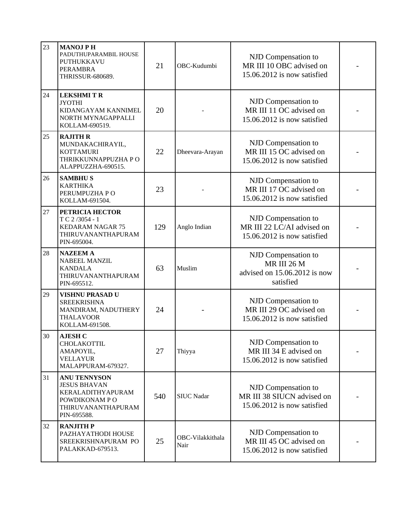| 23 | <b>MANOJ PH</b><br>PADUTHUPARAMBIL HOUSE<br>PUTHUKKAVU<br>PERAMBRA<br>THRISSUR-680689.                                | 21  | OBC-Kudumbi              | NJD Compensation to<br>MR III 10 OBC advised on<br>15.06.2012 is now satisfied   |  |
|----|-----------------------------------------------------------------------------------------------------------------------|-----|--------------------------|----------------------------------------------------------------------------------|--|
| 24 | <b>LEKSHMITR</b><br><b>JYOTHI</b><br>KIDANGAYAM KANNIMEL<br>NORTH MYNAGAPPALLI<br>KOLLAM-690519.                      | 20  |                          | NJD Compensation to<br>MR III 11 OC advised on<br>15.06.2012 is now satisfied    |  |
| 25 | <b>RAJITH R</b><br>MUNDAKACHIRAYIL,<br><b>KOTTAMURI</b><br>THRIKKUNNAPPUZHA PO<br>ALAPPUZZHA-690515.                  | 22  | Dheevara-Arayan          | NJD Compensation to<br>MR III 15 OC advised on<br>15.06.2012 is now satisfied    |  |
| 26 | <b>SAMBHUS</b><br><b>KARTHIKA</b><br>PERUMPUZHA PO<br>KOLLAM-691504.                                                  | 23  |                          | NJD Compensation to<br>MR III 17 OC advised on<br>15.06.2012 is now satisfied    |  |
| 27 | PETRICIA HECTOR<br>T C 2/3054 - 1<br><b>KEDARAM NAGAR 75</b><br>THIRUVANANTHAPURAM<br>PIN-695004.                     | 129 | Anglo Indian             | NJD Compensation to<br>MR III 22 LC/AI advised on<br>15.06.2012 is now satisfied |  |
| 28 | <b>NAZEEM A</b><br><b>NABEEL MANZIL</b><br><b>KANDALA</b><br>THIRUVANANTHAPURAM<br>PIN-695512.                        | 63  | Muslim                   | NJD Compensation to<br>MR III 26 M<br>advised on 15.06.2012 is now<br>satisfied  |  |
| 29 | <b>VISHNU PRASAD U</b><br><b>SREEKRISHNA</b><br>MANDIRAM, NADUTHERY<br><b>THALAVOOR</b><br>KOLLAM-691508.             | 24  |                          | NJD Compensation to<br>MR III 29 OC advised on<br>15.06.2012 is now satisfied    |  |
| 30 | <b>AJESH C</b><br>CHOLAKOTTIL<br>AMAPOYIL,<br><b>VELLAYUR</b><br>MALAPPURAM-679327.                                   | 27  | Thiyya                   | NJD Compensation to<br>MR III 34 E advised on<br>15.06.2012 is now satisfied     |  |
| 31 | <b>ANU TENNYSON</b><br><b>JESUS BHAVAN</b><br>KERALADITHYAPURAM<br>POWDIKONAM PO<br>THIRUVANANTHAPURAM<br>PIN-695588. | 540 | <b>SIUC Nadar</b>        | NJD Compensation to<br>MR III 38 SIUCN advised on<br>15.06.2012 is now satisfied |  |
| 32 | <b>RANJITH P</b><br>PAZHAYATHODI HOUSE<br>SREEKRISHNAPURAM PO<br>PALAKKAD-679513.                                     | 25  | OBC-Vilakkithala<br>Nair | NJD Compensation to<br>MR III 45 OC advised on<br>15.06.2012 is now satisfied    |  |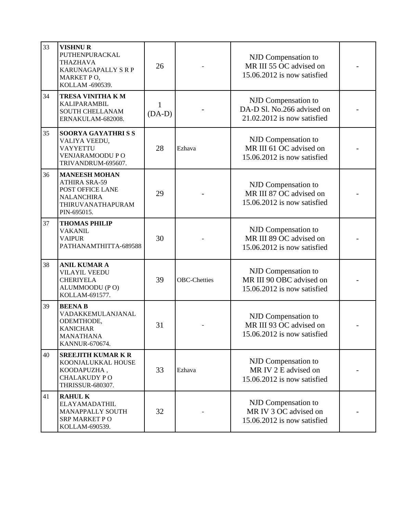| 33 | <b>VISHNUR</b><br>PUTHENPURACKAL<br><b>THAZHAVA</b><br><b>KARUNAGAPALLY S R P</b><br>MARKET PO,<br>KOLLAM -690539.        | 26                       |                     | NJD Compensation to<br>MR III 55 OC advised on<br>15.06.2012 is now satisfied    |  |
|----|---------------------------------------------------------------------------------------------------------------------------|--------------------------|---------------------|----------------------------------------------------------------------------------|--|
| 34 | TRESA VINITHA KM<br>KALIPARAMBIL<br>SOUTH CHELLANAM<br>ERNAKULAM-682008.                                                  | $\mathbf{1}$<br>$(DA-D)$ |                     | NJD Compensation to<br>DA-D Sl. No.266 advised on<br>21.02.2012 is now satisfied |  |
| 35 | <b>SOORYA GAYATHRISS</b><br>VALIYA VEEDU,<br><b>VAYYETTU</b><br>VENJARAMOODU PO<br>TRIVANDRUM-695607.                     | 28                       | Ezhava              | NJD Compensation to<br>MR III 61 OC advised on<br>15.06.2012 is now satisfied    |  |
| 36 | <b>MANEESH MOHAN</b><br><b>ATHIRA SRA-59</b><br>POST OFFICE LANE<br><b>NALANCHIRA</b><br>THIRUVANATHAPURAM<br>PIN-695015. | 29                       |                     | NJD Compensation to<br>MR III 87 OC advised on<br>15.06.2012 is now satisfied    |  |
| 37 | <b>THOMAS PHILIP</b><br><b>VAKANIL</b><br><b>VAIPUR</b><br>PATHANAMTHITTA-689588                                          | 30                       |                     | NJD Compensation to<br>MR III 89 OC advised on<br>15.06.2012 is now satisfied    |  |
| 38 | <b>ANIL KUMAR A</b><br><b>VILAYIL VEEDU</b><br><b>CHERIYELA</b><br>ALUMMOODU (PO)<br>KOLLAM-691577.                       | 39                       | <b>OBC-Chetties</b> | NJD Compensation to<br>MR III 90 OBC advised on<br>15.06.2012 is now satisfied   |  |
| 39 | <b>BEENAB</b><br>VADAKKEMULANJANAL<br>ODEMTHODE,<br><b>KANICHAR</b><br><b>MANATHANA</b><br>KANNUR-670674.                 | 31                       |                     | NJD Compensation to<br>MR III 93 OC advised on<br>15.06.2012 is now satisfied    |  |
| 40 | <b>SREEJITH KUMAR K R</b><br>KOONJALUKKAL HOUSE<br>KOODAPUZHA,<br><b>CHALAKUDY PO</b><br>THRISSUR-680307.                 | 33                       | Ezhava              | NJD Compensation to<br>MR IV 2 E advised on<br>15.06.2012 is now satisfied       |  |
| 41 | <b>RAHUL K</b><br><b>ELAYAMADATHIL</b><br>MANAPPALLY SOUTH<br><b>SRP MARKET PO</b><br>KOLLAM-690539.                      | 32                       |                     | NJD Compensation to<br>MR IV 3 OC advised on<br>15.06.2012 is now satisfied      |  |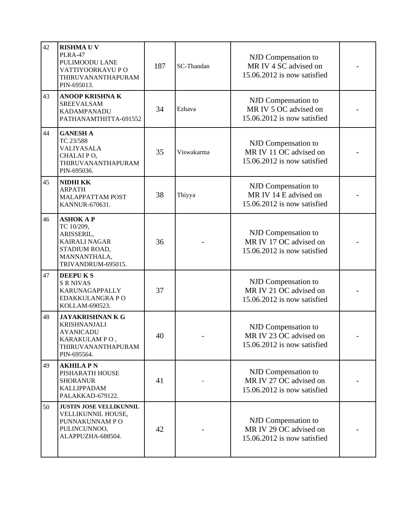| 42 | <b>RISHMAUV</b><br>PLRA-47<br>PULIMOODU LANE<br>VATTIYOORKAVU PO<br>THIRUVANANTHAPURAM<br>PIN-695013.                       | 187 | SC-Thandan | NJD Compensation to<br>MR IV 4 SC advised on<br>15.06.2012 is now satisfied  |  |
|----|-----------------------------------------------------------------------------------------------------------------------------|-----|------------|------------------------------------------------------------------------------|--|
| 43 | <b>ANOOP KRISHNAK</b><br><b>SREEVALSAM</b><br><b>KADAMPANADU</b><br>PATHANAMTHITTA-691552                                   | 34  | Ezhava     | NJD Compensation to<br>MR IV 5 OC advised on<br>15.06.2012 is now satisfied  |  |
| 44 | <b>GANESH A</b><br>TC 23/588<br>VALIYASALA<br>CHALAI PO,<br>THIRUVANANTHAPURAM<br>PIN-695036.                               | 35  | Viswakarma | NJD Compensation to<br>MR IV 11 OC advised on<br>15.06.2012 is now satisfied |  |
| 45 | <b>NIDHI KK</b><br><b>ARPATH</b><br><b>MALAPPATTAM POST</b><br>KANNUR-670631.                                               | 38  | Thiyya     | NJD Compensation to<br>MR IV 14 E advised on<br>15.06.2012 is now satisfied  |  |
| 46 | <b>ASHOK A P</b><br>TC 10/209,<br>ARISSERIL,<br><b>KAIRALI NAGAR</b><br>STADIUM ROAD,<br>MANNANTHALA,<br>TRIVANDRUM-695015. | 36  |            | NJD Compensation to<br>MR IV 17 OC advised on<br>15.06.2012 is now satisfied |  |
| 47 | <b>DEEPUKS</b><br><b>S R NIVAS</b><br>KARUNAGAPPALLY<br>EDAKKULANGRA PO<br>KOLLAM-690523.                                   | 37  |            | NJD Compensation to<br>MR IV 21 OC advised on<br>15.06.2012 is now satisfied |  |
| 48 | <b>JAYAKRISHNAN K G</b><br><b>KRISHNANJALI</b><br>AYANICADU<br>KARAKULAMPO,<br>THIRUVANANTHAPURAM<br>PIN-695564.            | 40  |            | NJD Compensation to<br>MR IV 23 OC advised on<br>15.06.2012 is now satisfied |  |
| 49 | <b>AKHILA PN</b><br>PISHARATH HOUSE<br><b>SHORANUR</b><br>KALLIPPADAM<br>PALAKKAD-679122.                                   | 41  |            | NJD Compensation to<br>MR IV 27 OC advised on<br>15.06.2012 is now satisfied |  |
| 50 | <b>JUSTIN JOSE VELLIKUNNIL</b><br>VELLIKUNNIL HOUSE,<br>PUNNAKUNNAM PO<br>PULINCUNNOO,<br>ALAPPUZHA-688504.                 | 42  |            | NJD Compensation to<br>MR IV 29 OC advised on<br>15.06.2012 is now satisfied |  |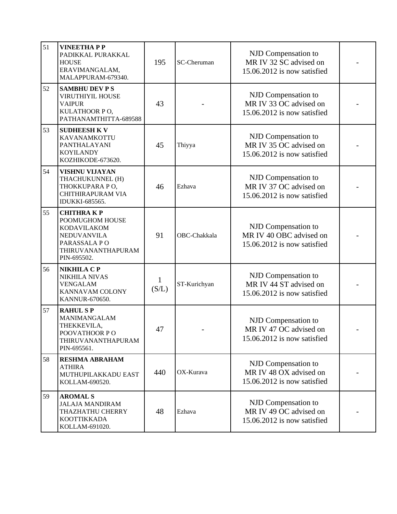| 51 | <b>VINEETHAPP</b><br>PADIKKAL PURAKKAL<br><b>HOUSE</b><br>ERAVIMANGALAM,<br>MALAPPURAM-679340.                                | 195        | SC-Cheruman  | NJD Compensation to<br>MR IV 32 SC advised on<br>15.06.2012 is now satisfied  |  |
|----|-------------------------------------------------------------------------------------------------------------------------------|------------|--------------|-------------------------------------------------------------------------------|--|
| 52 | <b>SAMBHU DEV P S</b><br>VIRUTHIYIL HOUSE<br><b>VAIPUR</b><br>KULATHOOR PO,<br>PATHANAMTHITTA-689588                          | 43         |              | NJD Compensation to<br>MR IV 33 OC advised on<br>15.06.2012 is now satisfied  |  |
| 53 | <b>SUDHEESH K V</b><br>KAVANAMKOTTU<br>PANTHALAYANI<br><b>KOYILANDY</b><br>KOZHIKODE-673620.                                  | 45         | Thiyya       | NJD Compensation to<br>MR IV 35 OC advised on<br>15.06.2012 is now satisfied  |  |
| 54 | <b>VISHNU VIJAYAN</b><br>THACHUKUNNEL (H)<br>THOKKUPARA PO,<br>CHITHIRAPURAM VIA<br>IDUKKI-685565.                            | 46         | Ezhava       | NJD Compensation to<br>MR IV 37 OC advised on<br>15.06.2012 is now satisfied  |  |
| 55 | <b>CHITHRAKP</b><br>POOMUGHOM HOUSE<br>KODAVILAKOM<br><b>NEDUVANVILA</b><br>PARASSALA PO<br>THIRUVANANTHAPURAM<br>PIN-695502. | 91         | OBC-Chakkala | NJD Compensation to<br>MR IV 40 OBC advised on<br>15.06.2012 is now satisfied |  |
| 56 | <b>NIKHILA C P</b><br><b>NIKHILA NIVAS</b><br><b>VENGALAM</b><br>KANNAVAM COLONY<br>KANNUR-670650.                            | 1<br>(S/L) | ST-Kurichyan | NJD Compensation to<br>MR IV 44 ST advised on<br>15.06.2012 is now satisfied  |  |
| 57 | <b>RAHUL SP</b><br>MANIMANGALAM<br>THEKKEVILA,<br>POOVATHOOR PO<br>THIRUVANANTHAPURAM<br>PIN-695561.                          | 47         |              | NJD Compensation to<br>MR IV 47 OC advised on<br>15.06.2012 is now satisfied  |  |
| 58 | <b>RESHMA ABRAHAM</b><br><b>ATHIRA</b><br>MUTHUPILAKKADU EAST<br>KOLLAM-690520.                                               | 440        | OX-Kurava    | NJD Compensation to<br>MR IV 48 OX advised on<br>15.06.2012 is now satisfied  |  |
| 59 | <b>AROMAL S</b><br><b>JALAJA MANDIRAM</b><br>THAZHATHU CHERRY<br><b>KOOTTIKKADA</b><br>KOLLAM-691020.                         | 48         | Ezhava       | NJD Compensation to<br>MR IV 49 OC advised on<br>15.06.2012 is now satisfied  |  |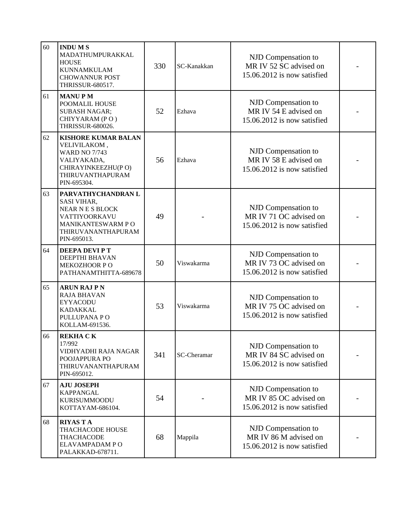| 60 | <b>INDUMS</b><br>MADATHUMPURAKKAL<br><b>HOUSE</b><br><b>KUNNAMKULAM</b><br><b>CHOWANNUR POST</b><br>THRISSUR-680517.                       | 330 | SC-Kanakkan | NJD Compensation to<br>MR IV 52 SC advised on<br>15.06.2012 is now satisfied |  |
|----|--------------------------------------------------------------------------------------------------------------------------------------------|-----|-------------|------------------------------------------------------------------------------|--|
| 61 | <b>MANUPM</b><br>POOMALIL HOUSE<br><b>SUBASH NAGAR;</b><br>CHIYYARAM (PO)<br>THRISSUR-680026.                                              | 52  | Ezhava      | NJD Compensation to<br>MR IV 54 E advised on<br>15.06.2012 is now satisfied  |  |
| 62 | <b>KISHORE KUMAR BALAN</b><br>VELIVILAKOM,<br><b>WARD NO 7/743</b><br>VALIYAKADA,<br>CHIRAYINKEEZHU(PO)<br>THIRUVANTHAPURAM<br>PIN-695304. | 56  | Ezhava      | NJD Compensation to<br>MR IV 58 E advised on<br>15.06.2012 is now satisfied  |  |
| 63 | PARVATHYCHANDRAN L<br>SASI VIHAR,<br>NEAR N E S BLOCK<br>VATTIYOORKAVU<br>MANIKANTESWARM PO<br>THIRUVANANTHAPURAM<br>PIN-695013.           | 49  |             | NJD Compensation to<br>MR IV 71 OC advised on<br>15.06.2012 is now satisfied |  |
| 64 | DEEPA DEVI P T<br>DEEPTHI BHAVAN<br>MEKOZHOOR PO<br>PATHANAMTHITTA-689678                                                                  | 50  | Viswakarma  | NJD Compensation to<br>MR IV 73 OC advised on<br>15.06.2012 is now satisfied |  |
| 65 | <b>ARUN RAJ P N</b><br><b>RAJA BHAVAN</b><br><b>EYYACODU</b><br><b>KADAKKAL</b><br>PULLUPANA PO<br>KOLLAM-691536.                          | 53  | Viswakarma  | NJD Compensation to<br>MR IV 75 OC advised on<br>15.06.2012 is now satisfied |  |
| 66 | <b>REKHA CK</b><br>17/992<br>VIDHYADHI RAJA NAGAR<br>POOJAPPURA PO<br>THIRUVANANTHAPURAM<br>PIN-695012.                                    | 341 | SC-Cheramar | NJD Compensation to<br>MR IV 84 SC advised on<br>15.06.2012 is now satisfied |  |
| 67 | <b>AJU JOSEPH</b><br><b>KAPPANGAL</b><br>KURISUMMOODU<br>KOTTAYAM-686104.                                                                  | 54  |             | NJD Compensation to<br>MR IV 85 OC advised on<br>15.06.2012 is now satisfied |  |
| 68 | <b>RIYAS T A</b><br>THACHACODE HOUSE<br>THACHACODE<br>ELAVAMPADAM PO<br>PALAKKAD-678711.                                                   | 68  | Mappila     | NJD Compensation to<br>MR IV 86 M advised on<br>15.06.2012 is now satisfied  |  |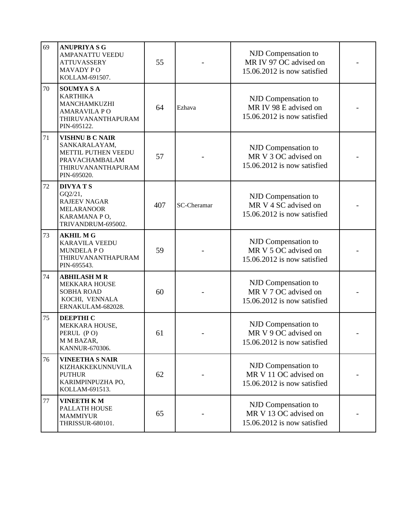| 69 | <b>ANUPRIYA S G</b><br><b>AMPANATTU VEEDU</b><br><b>ATTUVASSERY</b><br><b>MAVADY PO</b><br>KOLLAM-691507.             | 55  |                    | NJD Compensation to<br>MR IV 97 OC advised on<br>15.06.2012 is now satisfied |  |
|----|-----------------------------------------------------------------------------------------------------------------------|-----|--------------------|------------------------------------------------------------------------------|--|
| 70 | <b>SOUMYASA</b><br><b>KARTHIKA</b><br>MANCHAMKUZHI<br><b>AMARAVILA PO</b><br>THIRUVANANTHAPURAM<br>PIN-695122.        | 64  | Ezhava             | NJD Compensation to<br>MR IV 98 E advised on<br>15.06.2012 is now satisfied  |  |
| 71 | <b>VISHNU B C NAIR</b><br>SANKARALAYAM,<br>METTIL PUTHEN VEEDU<br>PRAVACHAMBALAM<br>THIRUVANANTHAPURAM<br>PIN-695020. | 57  |                    | NJD Compensation to<br>MR V 3 OC advised on<br>15.06.2012 is now satisfied   |  |
| 72 | <b>DIVYATS</b><br>GQ2/21,<br><b>RAJEEV NAGAR</b><br><b>MELARANOOR</b><br>KARAMANA PO,<br>TRIVANDRUM-695002.           | 407 | <b>SC-Cheramar</b> | NJD Compensation to<br>MR V 4 SC advised on<br>15.06.2012 is now satisfied   |  |
| 73 | <b>AKHIL M G</b><br><b>KARAVILA VEEDU</b><br><b>MUNDELAPO</b><br>THIRUVANANTHAPURAM<br>PIN-695543.                    | 59  |                    | NJD Compensation to<br>MR V 5 OC advised on<br>15.06.2012 is now satisfied   |  |
| 74 | <b>ABHILASH M R</b><br><b>MEKKARA HOUSE</b><br><b>SOBHA ROAD</b><br>KOCHI, VENNALA<br>ERNAKULAM-682028.               | 60  |                    | NJD Compensation to<br>MR V 7 OC advised on<br>15.06.2012 is now satisfied   |  |
| 75 | <b>DEEPTHI C</b><br>MEKKARA HOUSE,<br>PERUL (PO)<br>M M BAZAR,<br>KANNUR-670306.                                      | 61  |                    | NJD Compensation to<br>MR V 9 OC advised on<br>15.06.2012 is now satisfied   |  |
| 76 | <b>VINEETHA S NAIR</b><br>KIZHAKKEKUNNUVILA<br><b>PUTHUR</b><br>KARIMPINPUZHA PO,<br>KOLLAM-691513.                   | 62  |                    | NJD Compensation to<br>MR V 11 OC advised on<br>15.06.2012 is now satisfied  |  |
| 77 | <b>VINEETH KM</b><br>PALLATH HOUSE<br><b>MAMMIYUR</b><br>THRISSUR-680101.                                             | 65  |                    | NJD Compensation to<br>MR V 13 OC advised on<br>15.06.2012 is now satisfied  |  |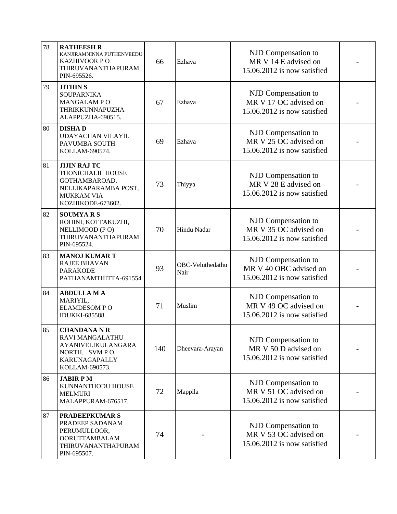| 78 | <b>RATHEESH R</b><br>KANJIRAMNINNA PUTHENVEEDU<br>KAZHIVOOR P O<br>THIRUVANANTHAPURAM<br>PIN-695526.                        | 66  | Ezhava                   | NJD Compensation to<br>MR V 14 E advised on<br>15.06.2012 is now satisfied   |  |
|----|-----------------------------------------------------------------------------------------------------------------------------|-----|--------------------------|------------------------------------------------------------------------------|--|
| 79 | <b>JITHIN S</b><br><b>SOUPARNIKA</b><br>MANGALAM PO<br>THRIKKUNNAPUZHA<br>ALAPPUZHA-690515.                                 | 67  | Ezhava                   | NJD Compensation to<br>MR V 17 OC advised on<br>15.06.2012 is now satisfied  |  |
| 80 | <b>DISHAD</b><br>UDAYACHAN VILAYIL<br>PAVUMBA SOUTH<br>KOLLAM-690574.                                                       | 69  | Ezhava                   | NJD Compensation to<br>MR V 25 OC advised on<br>15.06.2012 is now satisfied  |  |
| 81 | <b>JIJIN RAJ TC</b><br>THONICHALIL HOUSE<br>GOTHAMBAROAD,<br>NELLIKAPARAMBA POST,<br><b>MUKKAM VIA</b><br>KOZHIKODE-673602. | 73  | Thiyya                   | NJD Compensation to<br>MR V 28 E advised on<br>15.06.2012 is now satisfied   |  |
| 82 | <b>SOUMYARS</b><br>ROHINI, KOTTAKUZHI,<br>NELLIMOOD (PO)<br>THIRUVANANTHAPURAM<br>PIN-695524.                               | 70  | Hindu Nadar              | NJD Compensation to<br>MR V 35 OC advised on<br>15.06.2012 is now satisfied  |  |
| 83 | <b>MANOJ KUMAR T</b><br><b>RAJEE BHAVAN</b><br><b>PARAKODE</b><br>PATHANAMTHITTA-691554                                     | 93  | OBC-Veluthedathu<br>Nair | NJD Compensation to<br>MR V 40 OBC advised on<br>15.06.2012 is now satisfied |  |
| 84 | <b>ABDULLA MA</b><br>MARIYIL,<br><b>ELAMDESOM PO</b><br><b>IDUKKI-685588.</b>                                               | 71  | Muslim                   | NJD Compensation to<br>MR V 49 OC advised on<br>15.06.2012 is now satisfied  |  |
| 85 | <b>CHANDANA N R</b><br>RAVI MANGALATHU<br><b>AYANIVELIKULANGARA</b><br>NORTH, SVMPO,<br>KARUNAGAPALLY<br>KOLLAM-690573.     | 140 | Dheevara-Arayan          | NJD Compensation to<br>MR V 50 D advised on<br>15.06.2012 is now satisfied   |  |
| 86 | <b>JABIR PM</b><br>KUNNANTHODU HOUSE<br><b>MELMURI</b><br>MALAPPURAM-676517.                                                | 72  | Mappila                  | NJD Compensation to<br>MR V 51 OC advised on<br>15.06.2012 is now satisfied  |  |
| 87 | <b>PRADEEPKUMAR S</b><br>PRADEEP SADANAM<br>PERUMULLOOR,<br><b>OORUTTAMBALAM</b><br>THIRUVANANTHAPURAM<br>PIN-695507.       | 74  |                          | NJD Compensation to<br>MR V 53 OC advised on<br>15.06.2012 is now satisfied  |  |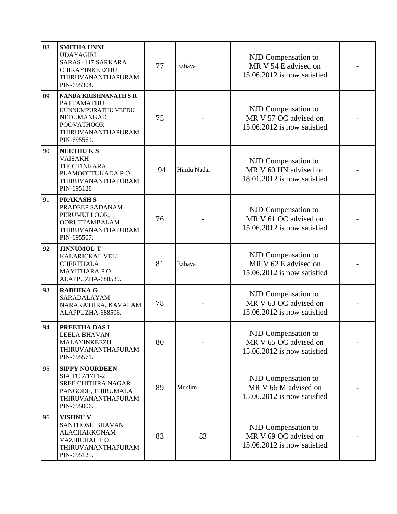| 88 | <b>SMITHA UNNI</b><br><b>UDAYAGIRI</b><br><b>SARAS -117 SARKARA</b><br>CHIRAYINKEEZHU<br>THIRUVANANTHAPURAM<br>PIN-695304.         | 77  | Ezhava      | NJD Compensation to<br>MR V 54 E advised on<br>15.06.2012 is now satisfied  |  |
|----|------------------------------------------------------------------------------------------------------------------------------------|-----|-------------|-----------------------------------------------------------------------------|--|
| 89 | NANDA KRISHNANATH S R<br>PATTAMATHU<br>KUNNUMPURATHU VEEDU<br>NEDUMANGAD<br><b>POOVATHOOR</b><br>THIRUVANANTHAPURAM<br>PIN-695561. | 75  |             | NJD Compensation to<br>MR V 57 OC advised on<br>15.06.2012 is now satisfied |  |
| 90 | <b>NEETHUKS</b><br><b>VAISAKH</b><br><b>THOTTINKARA</b><br>PLAMOOTTUKADA PO<br>THIRUVANANTHAPURAM<br>PIN-695128                    | 194 | Hindu Nadar | NJD Compensation to<br>MR V 60 HN advised on<br>18.01.2012 is now satisfied |  |
| 91 | <b>PRAKASH S</b><br>PRADEEP SADANAM<br>PERUMULLOOR,<br><b>OORUTTAMBALAM</b><br>THIRUVANANTHAPURAM<br>PIN-695507.                   | 76  |             | NJD Compensation to<br>MR V 61 OC advised on<br>15.06.2012 is now satisfied |  |
| 92 | <b>JINNUMOL T</b><br>KALARICKAL VELI<br><b>CHERTHALA</b><br><b>MAYITHARA PO</b><br>ALAPPUZHA-688539.                               | 81  | Ezhava      | NJD Compensation to<br>MR V 62 E advised on<br>15.06.2012 is now satisfied  |  |
| 93 | <b>RADHIKA G</b><br>SARADALAYAM<br>NARAKATHRA, KAVALAM<br>ALAPPUZHA-688506.                                                        | 78  |             | NJD Compensation to<br>MR V 63 OC advised on<br>15.06.2012 is now satisfied |  |
| 94 | PREETHA DAS L<br>LEELA BHAVAN<br><b>MALAYINKEEZH</b><br>THIRUVANANTHAPURAM<br>PIN-695571.                                          | 80  |             | NJD Compensation to<br>MR V 65 OC advised on<br>15.06.2012 is now satisfied |  |
| 95 | <b>SIPPY NOURDEEN</b><br>SIA TC 7/1711-2<br><b>SREE CHITHRA NAGAR</b><br>PANGODE, THIRUMALA<br>THIRUVANANTHAPURAM<br>PIN-695006.   | 89  | Muslim      | NJD Compensation to<br>MR V 66 M advised on<br>15.06.2012 is now satisfied  |  |
| 96 | <b>VISHNU V</b><br><b>SANTHOSH BHAVAN</b><br><b>ALACHAKKONAM</b><br>VAZHICHAL PO<br>THIRUVANANTHAPURAM<br>PIN-695125.              | 83  | 83          | NJD Compensation to<br>MR V 69 OC advised on<br>15.06.2012 is now satisfied |  |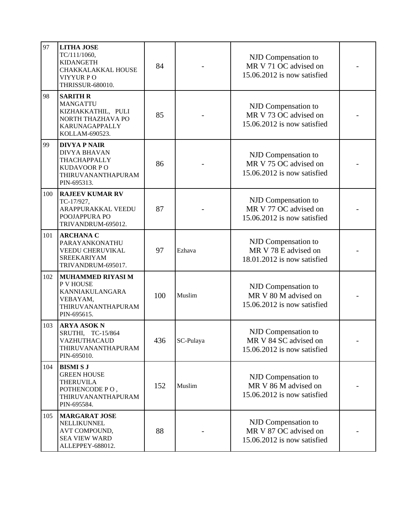| 97  | <b>LITHA JOSE</b><br>TC/111/1060,<br>KIDANGETH<br>CHAKKALAKKAL HOUSE<br>VIYYUR PO<br>THRISSUR-680010.             | 84  | NJD Compensation to<br>MR V 71 OC advised on<br>15.06.2012 is now satisfied |                                                                             |  |
|-----|-------------------------------------------------------------------------------------------------------------------|-----|-----------------------------------------------------------------------------|-----------------------------------------------------------------------------|--|
| 98  | <b>SARITH R</b><br><b>MANGATTU</b><br>KIZHAKKATHIL, PULI<br>NORTH THAZHAVA PO<br>KARUNAGAPPALLY<br>KOLLAM-690523. | 85  |                                                                             | NJD Compensation to<br>MR V 73 OC advised on<br>15.06.2012 is now satisfied |  |
| 99  | <b>DIVYA P NAIR</b><br><b>DIVYA BHAVAN</b><br>THACHAPPALLY<br>KUDAVOOR PO<br>THIRUVANANTHAPURAM<br>PIN-695313.    | 86  |                                                                             | NJD Compensation to<br>MR V 75 OC advised on<br>15.06.2012 is now satisfied |  |
| 100 | <b>RAJEEV KUMAR RV</b><br>TC-17/927,<br>ARAPPURAKKAL VEEDU<br>POOJAPPURA PO<br>TRIVANDRUM-695012.                 | 87  |                                                                             | NJD Compensation to<br>MR V 77 OC advised on<br>15.06.2012 is now satisfied |  |
| 101 | <b>ARCHANA C</b><br>PARAYANKONATHU<br>VEEDU CHERUVIKAL<br><b>SREEKARIYAM</b><br>TRIVANDRUM-695017.                | 97  | Ezhava                                                                      | NJD Compensation to<br>MR V 78 E advised on<br>18.01.2012 is now satisfied  |  |
| 102 | <b>MUHAMMED RIYASI M</b><br>P V HOUSE<br>KANNIAKULANGARA<br>VEBAYAM,<br>THIRUVANANTHAPURAM<br>PIN-695615.         | 100 | Muslim                                                                      | NJD Compensation to<br>MR V 80 M advised on<br>15.06.2012 is now satisfied  |  |
| 103 | <b>ARYA ASOK N</b><br>SRUTHI, TC-15/864<br>VAZHUTHACAUD<br>THIRUVANANTHAPURAM<br>PIN-695010.                      | 436 | SC-Pulaya                                                                   | NJD Compensation to<br>MR V 84 SC advised on<br>15.06.2012 is now satisfied |  |
| 104 | <b>BISMI S J</b><br><b>GREEN HOUSE</b><br><b>THERUVILA</b><br>POTHENCODE PO,<br>THIRUVANANTHAPURAM<br>PIN-695584. | 152 | Muslim                                                                      | NJD Compensation to<br>MR V 86 M advised on<br>15.06.2012 is now satisfied  |  |
| 105 | <b>MARGARAT JOSE</b><br>NELLIKUNNEL<br>AVT COMPOUND,<br><b>SEA VIEW WARD</b><br>ALLEPPEY-688012.                  | 88  |                                                                             | NJD Compensation to<br>MR V 87 OC advised on<br>15.06.2012 is now satisfied |  |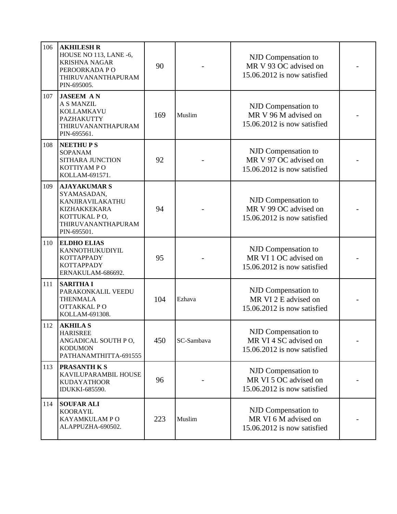| 106 | <b>AKHILESH R</b><br>HOUSE NO 113, LANE -6,<br><b>KRISHNA NAGAR</b><br>PEROORKADA PO<br>THIRUVANANTHAPURAM<br>PIN-695005.   | 90  | NJD Compensation to<br>MR V 93 OC advised on<br>15.06.2012 is now satisfied          |                                                                             |  |
|-----|-----------------------------------------------------------------------------------------------------------------------------|-----|--------------------------------------------------------------------------------------|-----------------------------------------------------------------------------|--|
| 107 | <b>JASEEM AN</b><br>A S MANZIL<br>KOLLAMKAVU<br>PAZHAKUTTY<br>THIRUVANANTHAPURAM<br>PIN-695561.                             | 169 | Muslim                                                                               | NJD Compensation to<br>MR V 96 M advised on<br>15.06.2012 is now satisfied  |  |
| 108 | <b>NEETHUPS</b><br><b>SOPANAM</b><br>SITHARA JUNCTION<br>KOTTIYAM PO<br>KOLLAM-691571.                                      | 92  |                                                                                      | NJD Compensation to<br>MR V 97 OC advised on<br>15.06.2012 is now satisfied |  |
| 109 | <b>AJAYAKUMAR S</b><br>SYAMASADAN,<br>KANJIRAVILAKATHU<br>KIZHAKKEKARA<br>KOTTUKAL PO,<br>THIRUVANANTHAPURAM<br>PIN-695501. | 94  | NJD Compensation to<br>MR V 99 OC advised on<br>15.06.2012 is now satisfied          |                                                                             |  |
| 110 | <b>ELDHO ELIAS</b><br>KANNOTHUKUDIYIL<br>KOTTAPPADY<br>KOTTAPPADY<br>ERNAKULAM-686692.                                      | 95  | NJD Compensation to<br>MR VI 1 OC advised on<br>15.06.2012 is now satisfied          |                                                                             |  |
| 111 | <b>SARITHA I</b><br>PARAKONKALIL VEEDU<br><b>THENMALA</b><br>OTTAKKAL PO<br>KOLLAM-691308.                                  | 104 | NJD Compensation to<br>MR VI 2 E advised on<br>Ezhava<br>15.06.2012 is now satisfied |                                                                             |  |
| 112 | <b>AKHILA S</b><br><b>HARISREE</b><br>ANGADICAL SOUTH PO,<br><b>KODUMON</b><br>PATHANAMTHITTA-691555                        | 450 | SC-Sambaya                                                                           | NJD Compensation to<br>MR VI 4 SC advised on<br>15.06.2012 is now satisfied |  |
| 113 | <b>PRASANTH K S</b><br>KAVILUPARAMBIL HOUSE<br><b>KUDAYATHOOR</b><br>IDUKKI-685590.                                         | 96  |                                                                                      | NJD Compensation to<br>MR VI 5 OC advised on<br>15.06.2012 is now satisfied |  |
| 114 | <b>SOUFAR ALI</b><br><b>KOORAYIL</b><br>KAYAMKULAM PO<br>ALAPPUZHA-690502.                                                  | 223 | Muslim                                                                               | NJD Compensation to<br>MR VI 6 M advised on<br>15.06.2012 is now satisfied  |  |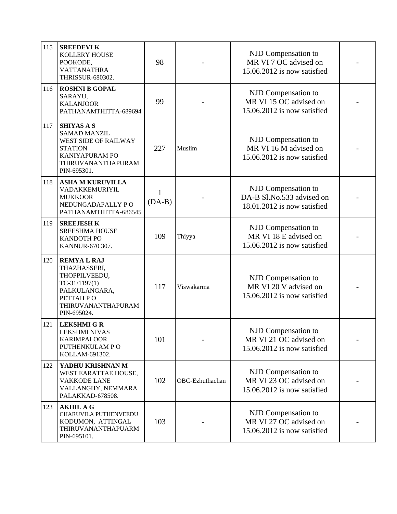| 115 | <b>SREEDEVIK</b><br><b>KOLLERY HOUSE</b><br>POOKODE,<br>VATTANATHRA<br>THRISSUR-680302.                                                   | 98                       |                 | NJD Compensation to<br>MR VI 7 OC advised on<br>15.06.2012 is now satisfied     |  |
|-----|-------------------------------------------------------------------------------------------------------------------------------------------|--------------------------|-----------------|---------------------------------------------------------------------------------|--|
| 116 | <b>ROSHNI B GOPAL</b><br>SARAYU,<br><b>KALANJOOR</b><br>PATHANAMTHITTA-689694                                                             | 99                       |                 | NJD Compensation to<br>MR VI 15 OC advised on<br>15.06.2012 is now satisfied    |  |
| 117 | <b>SHIYAS A S</b><br><b>SAMAD MANZIL</b><br>WEST SIDE OF RAILWAY<br><b>STATION</b><br>KANIYAPURAM PO<br>THIRUVANANTHAPURAM<br>PIN-695301. | 227                      | Muslim          | NJD Compensation to<br>MR VI 16 M advised on<br>15.06.2012 is now satisfied     |  |
| 118 | <b>ASHA M KURUVILLA</b><br>VADAKKEMURIYIL<br><b>MUKKOOR</b><br>NEDUNGADAPALLY PO<br>PATHANAMTHITTA-686545                                 | $\mathbf{1}$<br>$(DA-B)$ |                 | NJD Compensation to<br>DA-B Sl.No.533 advised on<br>18.01.2012 is now satisfied |  |
| 119 | <b>SREEJESH K</b><br><b>SREESHMA HOUSE</b><br><b>KANDOTH PO</b><br>KANNUR-670 307.                                                        | 109                      | Thiyya          | NJD Compensation to<br>MR VI 18 E advised on<br>15.06.2012 is now satisfied     |  |
| 120 | <b>REMYAL RAJ</b><br>THAZHASSERI,<br>THOPPILVEEDU,<br>$TC-31/1197(1)$<br>PALKULANGARA,<br>PETTAH PO<br>THIRUVANANTHAPURAM<br>PIN-695024.  | 117                      | Viswakarma      | NJD Compensation to<br>MR VI 20 V advised on<br>15.06.2012 is now satisfied     |  |
| 121 | <b>LEKSHMI G R</b><br><b>LEKSHMI NIVAS</b><br><b>KARIMPALOOR</b><br>PUTHENKULAM PO<br>KOLLAM-691302.                                      | 101                      |                 | NJD Compensation to<br>MR VI 21 OC advised on<br>15.06.2012 is now satisfied    |  |
| 122 | YADHU KRISHNAN M<br>WEST EARATTAE HOUSE,<br><b>VAKKODE LANE</b><br>VALLANGHY, NEMMARA<br>PALAKKAD-678508.                                 | 102                      | OBC-Ezhuthachan | NJD Compensation to<br>MR VI 23 OC advised on<br>15.06.2012 is now satisfied    |  |
| 123 | <b>AKHIL A G</b><br>CHARUVILA PUTHENVEEDU<br>KODUMON, ATTINGAL<br>THIRUVANANTHAPUARM<br>PIN-695101.                                       | 103                      |                 | NJD Compensation to<br>MR VI 27 OC advised on<br>15.06.2012 is now satisfied    |  |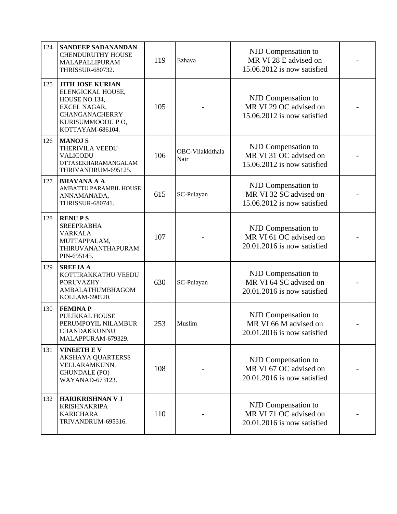| 124 | <b>SANDEEP SADANANDAN</b><br><b>CHENDURUTHY HOUSE</b><br>MALAPALLIPURAM<br>THRISSUR-680732.                                             | 119 | Ezhava                                                                                     | NJD Compensation to<br>MR VI 28 E advised on<br>15.06.2012 is now satisfied  |  |
|-----|-----------------------------------------------------------------------------------------------------------------------------------------|-----|--------------------------------------------------------------------------------------------|------------------------------------------------------------------------------|--|
| 125 | <b>JITH JOSE KURIAN</b><br>ELENGICKAL HOUSE,<br>HOUSE NO 134,<br>EXCEL NAGAR,<br>CHANGANACHERRY<br>KURISUMMOODU PO,<br>KOTTAYAM-686104. | 105 |                                                                                            | NJD Compensation to<br>MR VI 29 OC advised on<br>15.06.2012 is now satisfied |  |
| 126 | <b>MANOJ S</b><br>THERIVILA VEEDU<br>VALICODU<br>OTTASEKHARAMANGALAM<br>THRIVANDRUM-695125.                                             | 106 | OBC-Vilakkithala<br>Nair                                                                   | NJD Compensation to<br>MR VI 31 OC advised on<br>15.06.2012 is now satisfied |  |
| 127 | <b>BHAVANA A A</b><br>AMBATTU PARAMBIL HOUSE<br>ANNAMANADA,<br>THRISSUR-680741.                                                         | 615 | NJD Compensation to<br>MR VI 32 SC advised on<br>SC-Pulayan<br>15.06.2012 is now satisfied |                                                                              |  |
| 128 | <b>RENUPS</b><br><b>SREEPRABHA</b><br>VARKALA<br>MUTTAPPALAM,<br>THIRUVANANTHAPURAM<br>PIN-695145.                                      | 107 |                                                                                            | NJD Compensation to<br>MR VI 61 OC advised on<br>20.01.2016 is now satisfied |  |
| 129 | <b>SREEJA A</b><br>KOTTIRAKKATHU VEEDU<br><b>PORUVAZHY</b><br>AMBALATHUMBHAGOM<br>KOLLAM-690520.                                        | 630 | SC-Pulayan                                                                                 | NJD Compensation to<br>MR VI 64 SC advised on<br>20.01.2016 is now satisfied |  |
| 130 | <b>FEMINAP</b><br>PULIKKAL HOUSE<br>PERUMPOYIL NILAMBUR<br><b>CHANDAKKUNNU</b><br>MALAPPURAM-679329.                                    | 253 | Muslim                                                                                     | NJD Compensation to<br>MR VI 66 M advised on<br>20.01.2016 is now satisfied  |  |
| 131 | <b>VINEETHEV</b><br><b>AKSHAYA QUARTERSS</b><br>VELLARAMKUNN,<br>CHUNDALE (PO)<br>WAYANAD-673123.                                       | 108 |                                                                                            | NJD Compensation to<br>MR VI 67 OC advised on<br>20.01.2016 is now satisfied |  |
| 132 | <b>HARIKRISHNAN V J</b><br><b>KRISHNAKRIPA</b><br><b>KARICHARA</b><br>TRIVANDRUM-695316.                                                | 110 |                                                                                            | NJD Compensation to<br>MR VI 71 OC advised on<br>20.01.2016 is now satisfied |  |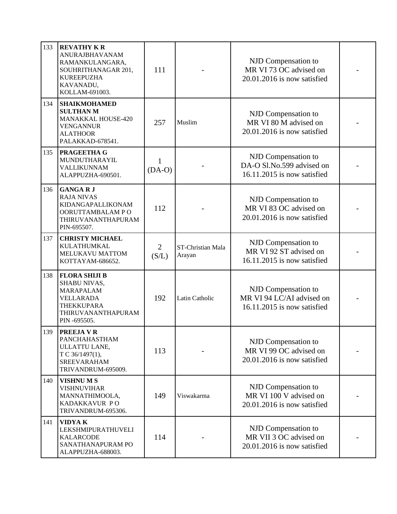| 133 | <b>REVATHY KR</b><br><b>ANURAJBHAVANAM</b><br>RAMANKULANGARA,<br>SOUHRITHANAGAR 201,<br><b>KUREEPUZHA</b><br>KAVANADU,<br>KOLLAM-691003. | 111                      |                             | NJD Compensation to<br>MR VI 73 OC advised on<br>20.01.2016 is now satisfied    |  |
|-----|------------------------------------------------------------------------------------------------------------------------------------------|--------------------------|-----------------------------|---------------------------------------------------------------------------------|--|
| 134 | <b>SHAIKMOHAMED</b><br><b>SULTHAN M</b><br><b>MANAKKAL HOUSE-420</b><br><b>VENGANNUR</b><br><b>ALATHOOR</b><br>PALAKKAD-678541.          | 257                      | Muslim                      | NJD Compensation to<br>MR VI 80 M advised on<br>20.01.2016 is now satisfied     |  |
| 135 | <b>PRAGEETHA G</b><br>MUNDUTHARAYIL<br>VALLIKUNNAM<br>ALAPPUZHA-690501.                                                                  | $\mathbf{1}$<br>$(DA-O)$ |                             | NJD Compensation to<br>DA-O Sl.No.599 advised on<br>16.11.2015 is now satisfied |  |
| 136 | <b>GANGARJ</b><br><b>RAJA NIVAS</b><br>KIDANGAPALLIKONAM<br>OORUTTAMBALAM PO<br>THIRUVANANTHAPURAM<br>PIN-695507.                        | 112                      |                             | NJD Compensation to<br>MR VI 83 OC advised on<br>20.01.2016 is now satisfied    |  |
| 137 | <b>CHRISTY MICHAEL</b><br>KULATHUMKAL<br>MELUKAVU MATTOM<br>KOTTAYAM-686652.                                                             | $\overline{2}$<br>(S/L)  | ST-Christian Mala<br>Arayan | NJD Compensation to<br>MR VI 92 ST advised on<br>16.11.2015 is now satisfied    |  |
| 138 | <b>FLORA SHIJI B</b><br>SHABU NIVAS,<br>MARAPALAM<br><b>VELLARADA</b><br>THEKKUPARA<br>THIRUVANANTHAPURAM<br>PIN-695505.                 | 192                      | <b>Latin Catholic</b>       | NJD Compensation to<br>MR VI 94 LC/AI advised on<br>16.11.2015 is now satisfied |  |
| 139 | PREEJA V R<br>PANCHAHASTHAM<br>ULLATTU LANE,<br>T C 36/1497(1),<br><b>SREEVARAHAM</b><br>TRIVANDRUM-695009.                              | 113                      |                             | NJD Compensation to<br>MR VI 99 OC advised on<br>20.01.2016 is now satisfied    |  |
| 140 | <b>VISHNUMS</b><br><b>VISHNUVIHAR</b><br>MANNATHIMOOLA,<br>KADAKKAVUR PO<br>TRIVANDRUM-695306.                                           | 149                      | Viswakarma                  | NJD Compensation to<br>MR VI 100 V advised on<br>20.01.2016 is now satisfied    |  |
| 141 | <b>VIDYAK</b><br>LEKSHMIPURATHUVELI<br><b>KALARCODE</b><br>SANATHANAPURAM PO<br>ALAPPUZHA-688003.                                        | 114                      |                             | NJD Compensation to<br>MR VII 3 OC advised on<br>20.01.2016 is now satisfied    |  |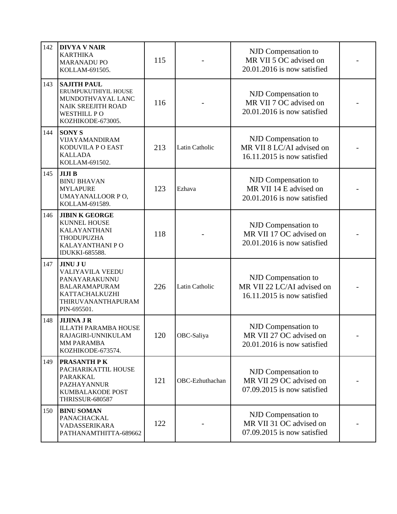| 142 | <b>DIVYA V NAIR</b><br><b>KARTHIKA</b><br><b>MARANADU PO</b><br>KOLLAM-691505.                                                            | 115 |                                                                                                          | NJD Compensation to<br>MR VII 5 OC advised on<br>20.01.2016 is now satisfied     |  |
|-----|-------------------------------------------------------------------------------------------------------------------------------------------|-----|----------------------------------------------------------------------------------------------------------|----------------------------------------------------------------------------------|--|
| 143 | <b>SAJITH PAUL</b><br>ERUMPUKUTHIYIL HOUSE<br>MUNDOTHVAYAL LANC<br><b>NAIK SREEJITH ROAD</b><br><b>WESTHILL PO</b><br>KOZHIKODE-673005.   | 116 |                                                                                                          | NJD Compensation to<br>MR VII 7 OC advised on<br>20.01.2016 is now satisfied     |  |
| 144 | <b>SONY S</b><br>VIJAYAMANDIRAM<br>KODUVILA P O EAST<br><b>KALLADA</b><br>KOLLAM-691502.                                                  | 213 | NJD Compensation to<br>MR VII 8 LC/AI advised on<br><b>Latin Catholic</b><br>16.11.2015 is now satisfied |                                                                                  |  |
| 145 | <b>JIJIB</b><br><b>BINU BHAVAN</b><br><b>MYLAPURE</b><br>UMAYANALLOOR PO,<br>KOLLAM-691589.                                               | 123 | NJD Compensation to<br>MR VII 14 E advised on<br>Ezhava<br>20.01.2016 is now satisfied                   |                                                                                  |  |
| 146 | <b>JIBIN K GEORGE</b><br><b>KUNNEL HOUSE</b><br><b>KALAYANTHANI</b><br>THODUPUZHA<br>KALAYANTHANI PO<br>IDUKKI-685588.                    | 118 |                                                                                                          | NJD Compensation to<br>MR VII 17 OC advised on<br>20.01.2016 is now satisfied    |  |
| 147 | <b>JINU JU</b><br><b>VALIYAVILA VEEDU</b><br>PANAYARAKUNNU<br><b>BALARAMAPURAM</b><br>KATTACHALKUZHI<br>THIRUVANANTHAPURAM<br>PIN-695501. | 226 | <b>Latin Catholic</b>                                                                                    | NJD Compensation to<br>MR VII 22 LC/AI advised on<br>16.11.2015 is now satisfied |  |
| 148 | <b>JIJINA J R</b><br><b>ILLATH PARAMBA HOUSE</b><br>RAJAGIRI-UNNIKULAM<br>MM PARAMBA<br>KOZHIKODE-673574.                                 | 120 | OBC-Saliya                                                                                               | NJD Compensation to<br>MR VII 27 OC advised on<br>20.01.2016 is now satisfied    |  |
| 149 | <b>PRASANTH PK</b><br>PACHARIKATTIL HOUSE<br>PARAKKAL<br><b>PAZHAYANNUR</b><br>KUMBALAKODE POST<br><b>THRISSUR-680587</b>                 | 121 | NJD Compensation to<br>MR VII 29 OC advised on<br>OBC-Ezhuthachan<br>07.09.2015 is now satisfied         |                                                                                  |  |
| 150 | <b>BINU SOMAN</b><br>PANACHACKAL<br>VADASSERIKARA<br>PATHANAMTHITTA-689662                                                                | 122 |                                                                                                          | NJD Compensation to<br>MR VII 31 OC advised on<br>07.09.2015 is now satisfied    |  |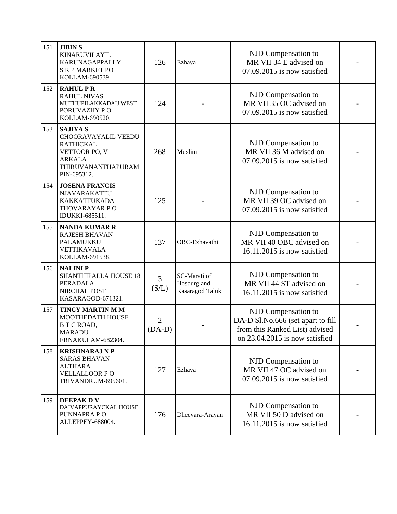| 151 | <b>JIBIN S</b><br>KINARUVILAYIL<br>KARUNAGAPPALLY<br><b>S R P MARKET PO</b><br>KOLLAM-690539.                        | 126           | Ezhava                                                                                 | NJD Compensation to<br>MR VII 34 E advised on<br>07.09.2015 is now satisfied                                                 |  |
|-----|----------------------------------------------------------------------------------------------------------------------|---------------|----------------------------------------------------------------------------------------|------------------------------------------------------------------------------------------------------------------------------|--|
| 152 | <b>RAHUL PR</b><br><b>RAHUL NIVAS</b><br>MUTHUPILAKKADAU WEST<br>PORUVAZHY PO<br>KOLLAM-690520.                      | 124           |                                                                                        | NJD Compensation to<br>MR VII 35 OC advised on<br>07.09.2015 is now satisfied                                                |  |
| 153 | <b>SAJIYA S</b><br>CHOORAVAYALIL VEEDU<br>RATHICKAL,<br>VETTOOR PO, V<br>ARKALA<br>THIRUVANANTHAPURAM<br>PIN-695312. | 268           | NJD Compensation to<br>MR VII 36 M advised on<br>Muslim<br>07.09.2015 is now satisfied |                                                                                                                              |  |
| 154 | <b>JOSENA FRANCIS</b><br>NJAVARAKATTU<br><b>KAKKATTUKADA</b><br>THOVARAYAR PO<br>IDUKKI-685511.                      | 125           |                                                                                        | NJD Compensation to<br>MR VII 39 OC advised on<br>07.09.2015 is now satisfied                                                |  |
| 155 | <b>NANDA KUMAR R</b><br>RAJESH BHAVAN<br>PALAMUKKU<br>VETTIKAVALA<br>KOLLAM-691538.                                  | 137           | OBC-Ezhavathi                                                                          | NJD Compensation to<br>MR VII 40 OBC advised on<br>16.11.2015 is now satisfied                                               |  |
| 156 | <b>NALINIP</b><br>SHANTHIPALLA HOUSE 18<br>PERADALA<br>NIRCHAL POST<br>KASARAGOD-671321.                             | 3<br>(S/L)    | SC-Marati of<br>Hosdurg and<br>Kasaragod Taluk                                         | NJD Compensation to<br>MR VII 44 ST advised on<br>16.11.2015 is now satisfied                                                |  |
| 157 | <b>TINCY MARTIN M M</b><br>MOOTHEDATH HOUSE<br>B T C ROAD,<br>MARADU<br>ERNAKULAM-682304.                            | 2<br>$(DA-D)$ |                                                                                        | NJD Compensation to<br>DA-D Sl.No.666 (set apart to fill<br>from this Ranked List) advised<br>on 23.04.2015 is now satisfied |  |
| 158 | <b>KRISHNARAJ N P</b><br><b>SARAS BHAVAN</b><br><b>ALTHARA</b><br><b>VELLALLOOR PO</b><br>TRIVANDRUM-695601.         | 127           | Ezhava                                                                                 | NJD Compensation to<br>MR VII 47 OC advised on<br>07.09.2015 is now satisfied                                                |  |
| 159 | <b>DEEPAK DV</b><br>DAIVAPPURAYCKAL HOUSE<br>PUNNAPRA PO<br>ALLEPPEY-688004.                                         | 176           | Dheevara-Arayan                                                                        | NJD Compensation to<br>MR VII 50 D advised on<br>16.11.2015 is now satisfied                                                 |  |